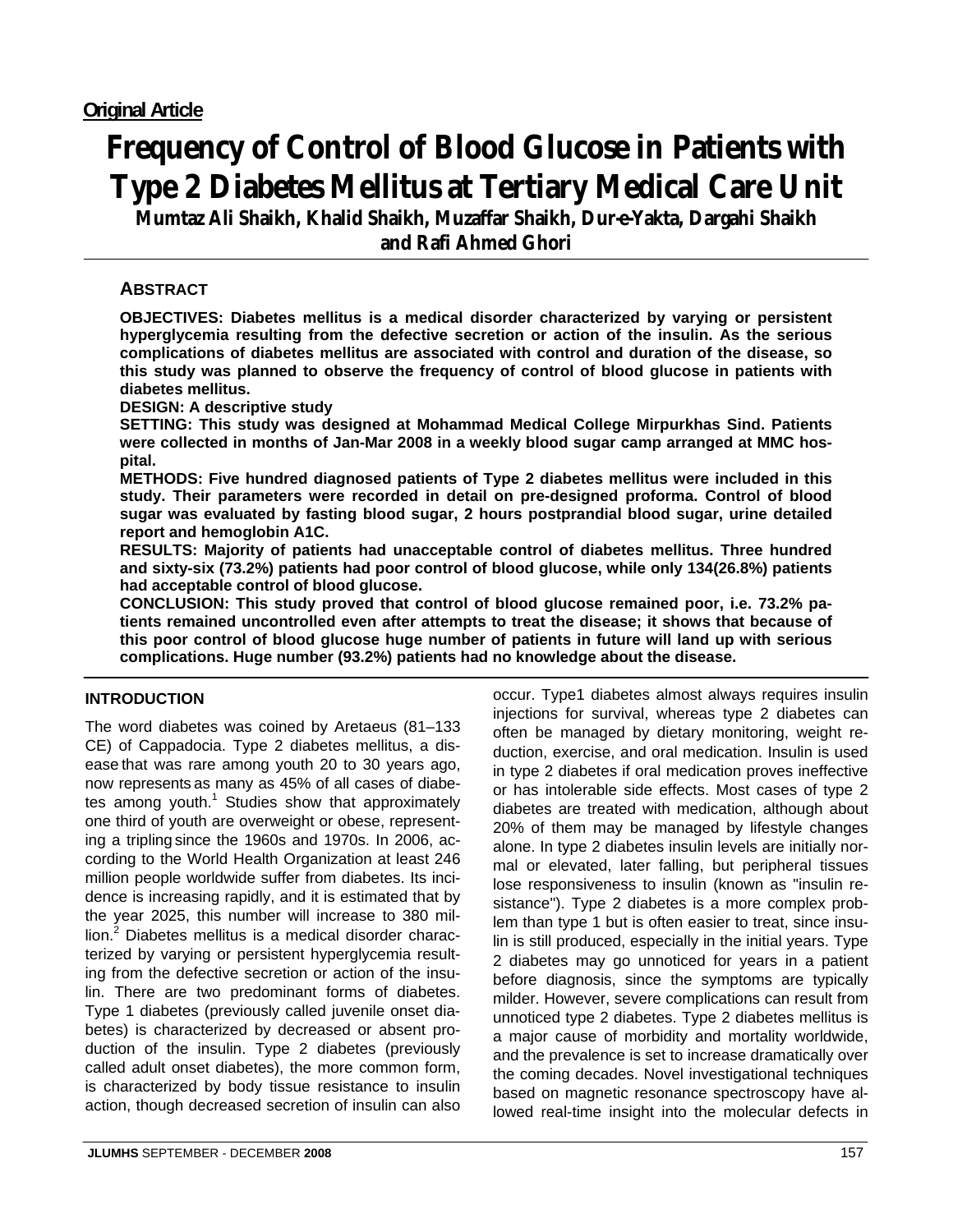# **Frequency of Control of Blood Glucose in Patients with Type 2 Diabetes Mellitus at Tertiary Medical Care Unit**

**Mumtaz Ali Shaikh, Khalid Shaikh, Muzaffar Shaikh, Dur-e-Yakta, Dargahi Shaikh and Rafi Ahmed Ghori** 

# **ABSTRACT**

**OBJECTIVES: Diabetes mellitus is a medical disorder characterized by varying or persistent hyperglycemia resulting from the defective secretion or action of the insulin. As the serious complications of diabetes mellitus are associated with control and duration of the disease, so this study was planned to observe the frequency of control of blood glucose in patients with diabetes mellitus.** 

**DESIGN: A descriptive study** 

**SETTING: This study was designed at Mohammad Medical College Mirpurkhas Sind. Patients were collected in months of Jan-Mar 2008 in a weekly blood sugar camp arranged at MMC hospital.** 

**METHODS: Five hundred diagnosed patients of Type 2 diabetes mellitus were included in this study. Their parameters were recorded in detail on pre-designed proforma. Control of blood sugar was evaluated by fasting blood sugar, 2 hours postprandial blood sugar, urine detailed report and hemoglobin A1C.** 

**RESULTS: Majority of patients had unacceptable control of diabetes mellitus. Three hundred and sixty-six (73.2%) patients had poor control of blood glucose, while only 134(26.8%) patients had acceptable control of blood glucose.** 

**CONCLUSION: This study proved that control of blood glucose remained poor, i.e. 73.2% patients remained uncontrolled even after attempts to treat the disease; it shows that because of this poor control of blood glucose huge number of patients in future will land up with serious complications. Huge number (93.2%) patients had no knowledge about the disease.** 

# **INTRODUCTION**

The word diabetes was coined by Aretaeus (81–133 CE) of Cappadocia. Type 2 diabetes mellitus, a disease that was rare among youth 20 to 30 years ago, now represents as many as 45% of all cases of diabetes among youth. $1$  Studies show that approximately one third of youth are overweight or obese, representing a tripling since the 1960s and 1970s. In 2006, according to the World Health Organization at least 246 million people worldwide suffer from diabetes. Its incidence is increasing rapidly, and it is estimated that by the year 2025, this number will increase to 380 million.<sup>2</sup> Diabetes mellitus is a medical disorder characterized by varying or persistent hyperglycemia resulting from the defective secretion or action of the insulin. There are two predominant forms of diabetes. Type 1 diabetes (previously called juvenile onset diabetes) is characterized by decreased or absent production of the insulin. Type 2 diabetes (previously called adult onset diabetes), the more common form, is characterized by body tissue resistance to insulin action, though decreased secretion of insulin can also occur. Type1 diabetes almost always requires insulin injections for survival, whereas type 2 diabetes can often be managed by dietary monitoring, weight reduction, exercise, and oral medication. Insulin is used in type 2 diabetes if oral medication proves ineffective or has intolerable side effects. Most cases of type 2 diabetes are treated with medication, although about 20% of them may be managed by lifestyle changes alone. In type 2 diabetes insulin levels are initially normal or elevated, later falling, but peripheral tissues lose responsiveness to insulin (known as "insulin resistance"). Type 2 diabetes is a more complex problem than type 1 but is often easier to treat, since insulin is still produced, especially in the initial years. Type 2 diabetes may go unnoticed for years in a patient before diagnosis, since the symptoms are typically milder. However, severe complications can result from unnoticed type 2 diabetes. Type 2 diabetes mellitus is a major cause of morbidity and mortality worldwide, and the prevalence is set to increase dramatically over the coming decades. Novel investigational techniques based on magnetic resonance spectroscopy have allowed real-time insight into the molecular defects in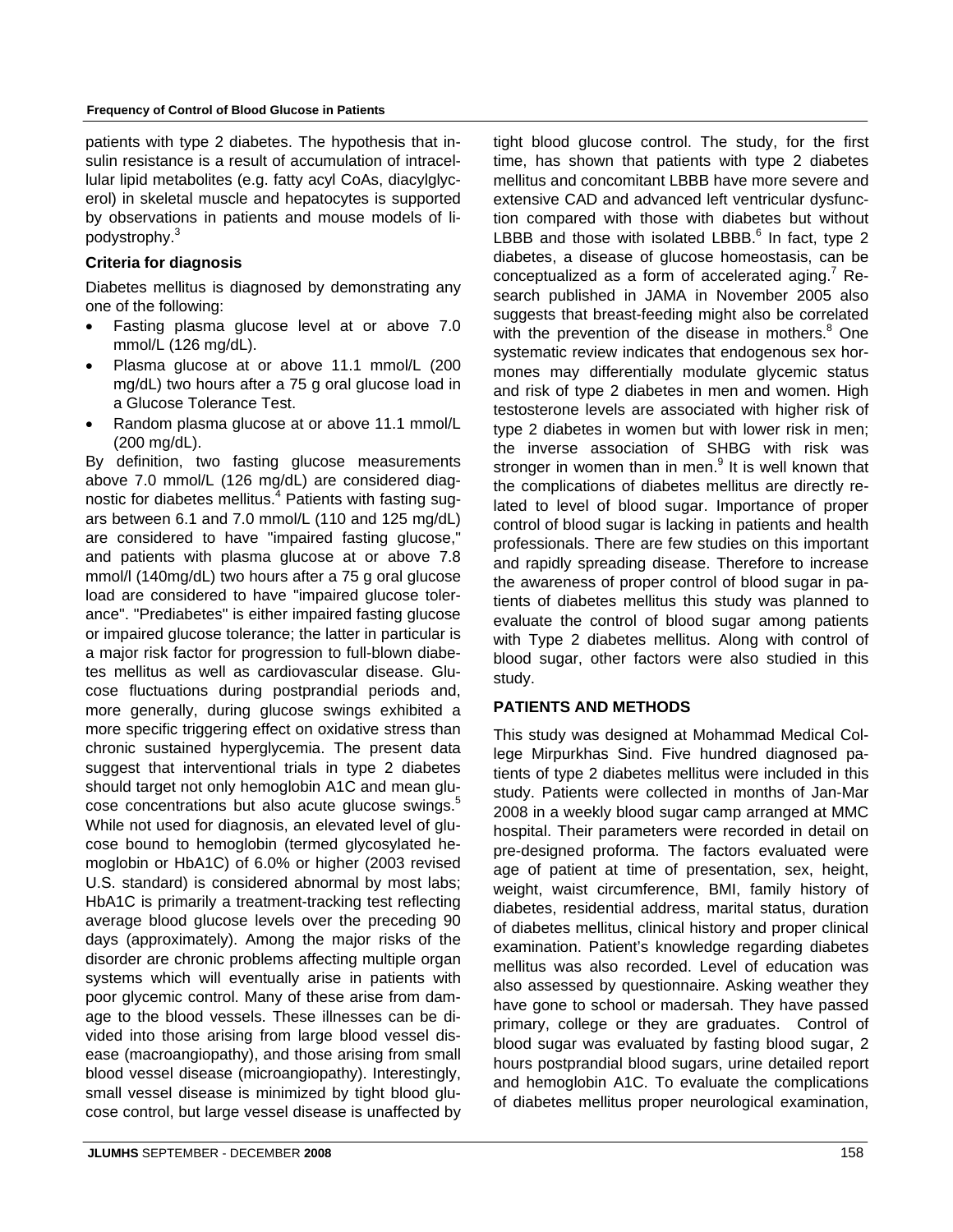#### **Frequency of Control of Blood Glucose in Patients**

patients with type 2 diabetes. The hypothesis that insulin resistance is a result of accumulation of intracellular lipid metabolites (e.g. fatty acyl CoAs, diacylglycerol) in skeletal muscle and hepatocytes is supported by observations in patients and mouse models of lipodystrophy.<sup>3</sup>

# **Criteria for diagnosis**

Diabetes mellitus is diagnosed by demonstrating any one of the following:

- Fasting plasma glucose level at or above 7.0 mmol/L (126 mg/dL).
- Plasma glucose at or above 11.1 mmol/L (200 mg/dL) two hours after a 75 g oral glucose load in a Glucose Tolerance Test.
- Random plasma glucose at or above 11.1 mmol/L (200 mg/dL).

By definition, two fasting glucose measurements above 7.0 mmol/L (126 mg/dL) are considered diagnostic for diabetes mellitus.<sup>4</sup> Patients with fasting sugars between 6.1 and 7.0 mmol/L (110 and 125 mg/dL) are considered to have "impaired fasting glucose," and patients with plasma glucose at or above 7.8 mmol/l (140mg/dL) two hours after a 75 g oral glucose load are considered to have "impaired glucose tolerance". "Prediabetes" is either impaired fasting glucose or impaired glucose tolerance; the latter in particular is a major risk factor for progression to full-blown diabetes mellitus as well as cardiovascular disease. Glucose fluctuations during postprandial periods and, more generally, during glucose swings exhibited a more specific triggering effect on oxidative stress than chronic sustained hyperglycemia. The present data suggest that interventional trials in type 2 diabetes should target not only hemoglobin A1C and mean glucose concentrations but also acute glucose swings.<sup>5</sup> While not used for diagnosis, an elevated level of glucose bound to hemoglobin (termed glycosylated hemoglobin or HbA1C) of 6.0% or higher (2003 revised U.S. standard) is considered abnormal by most labs; HbA1C is primarily a treatment-tracking test reflecting average blood glucose levels over the preceding 90 days (approximately). Among the major risks of the disorder are chronic problems affecting multiple organ systems which will eventually arise in patients with poor glycemic control. Many of these arise from damage to the blood vessels. These illnesses can be divided into those arising from large blood vessel disease (macroangiopathy), and those arising from small blood vessel disease (microangiopathy). Interestingly, small vessel disease is minimized by tight blood glucose control, but large vessel disease is unaffected by tion compared with those with diabetes but without LBBB and those with isolated LBBB. $^6$  In fact, type 2 diabetes, a disease of glucose homeostasis, can be conceptualized as a form of accelerated aging.<sup>7</sup> Research published in JAMA in November 2005 also suggests that breast-feeding might also be correlated with the prevention of the disease in mothers.<sup>8</sup> One systematic review indicates that endogenous sex hormones may differentially modulate glycemic status and risk of type 2 diabetes in men and women. High testosterone levels are associated with higher risk of type 2 diabetes in women but with lower risk in men; the inverse association of SHBG with risk was stronger in women than in men.<sup>9</sup> It is well known that the complications of diabetes mellitus are directly related to level of blood sugar. Importance of proper control of blood sugar is lacking in patients and health professionals. There are few studies on this important and rapidly spreading disease. Therefore to increase the awareness of proper control of blood sugar in patients of diabetes mellitus this study was planned to evaluate the control of blood sugar among patients with Type 2 diabetes mellitus. Along with control of blood sugar, other factors were also studied in this study.

tight blood glucose control. The study, for the first time, has shown that patients with type 2 diabetes mellitus and concomitant LBBB have more severe and extensive CAD and advanced left ventricular dysfunc-

## **PATIENTS AND METHODS**

This study was designed at Mohammad Medical College Mirpurkhas Sind. Five hundred diagnosed patients of type 2 diabetes mellitus were included in this study. Patients were collected in months of Jan-Mar 2008 in a weekly blood sugar camp arranged at MMC hospital. Their parameters were recorded in detail on pre-designed proforma. The factors evaluated were age of patient at time of presentation, sex, height, weight, waist circumference, BMI, family history of diabetes, residential address, marital status, duration of diabetes mellitus, clinical history and proper clinical examination. Patient's knowledge regarding diabetes mellitus was also recorded. Level of education was also assessed by questionnaire. Asking weather they have gone to school or madersah. They have passed primary, college or they are graduates. Control of blood sugar was evaluated by fasting blood sugar, 2 hours postprandial blood sugars, urine detailed report and hemoglobin A1C. To evaluate the complications of diabetes mellitus proper neurological examination,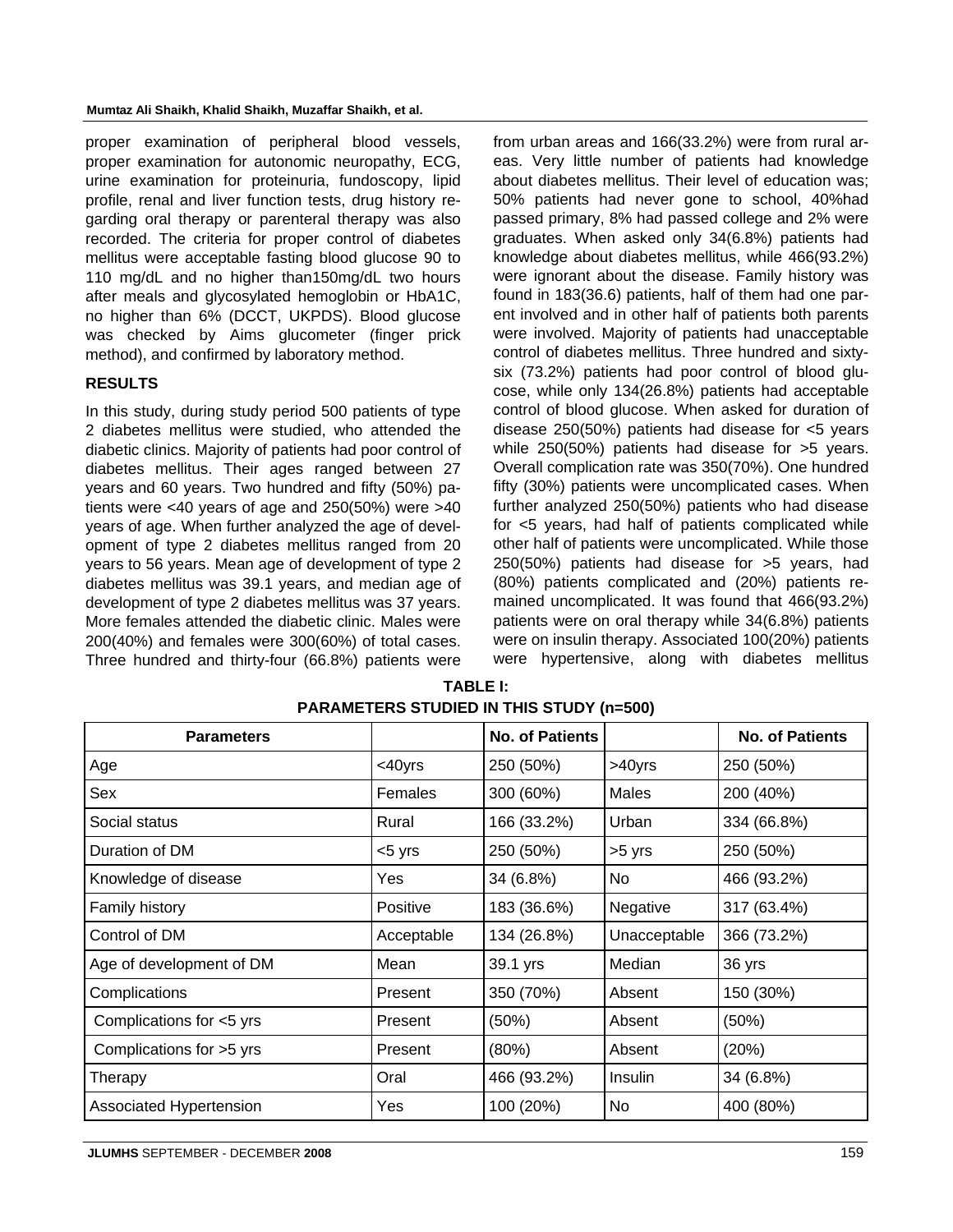proper examination of peripheral blood vessels, proper examination for autonomic neuropathy, ECG, urine examination for proteinuria, fundoscopy, lipid profile, renal and liver function tests, drug history regarding oral therapy or parenteral therapy was also recorded. The criteria for proper control of diabetes mellitus were acceptable fasting blood glucose 90 to 110 mg/dL and no higher than150mg/dL two hours after meals and glycosylated hemoglobin or HbA1C, no higher than 6% (DCCT, UKPDS). Blood glucose was checked by Aims glucometer (finger prick method), and confirmed by laboratory method.

## **RESULTS**

In this study, during study period 500 patients of type 2 diabetes mellitus were studied, who attended the diabetic clinics. Majority of patients had poor control of diabetes mellitus. Their ages ranged between 27 years and 60 years. Two hundred and fifty (50%) patients were <40 years of age and 250(50%) were >40 years of age. When further analyzed the age of development of type 2 diabetes mellitus ranged from 20 years to 56 years. Mean age of development of type 2 diabetes mellitus was 39.1 years, and median age of development of type 2 diabetes mellitus was 37 years. More females attended the diabetic clinic. Males were 200(40%) and females were 300(60%) of total cases. Three hundred and thirty-four (66.8%) patients were from urban areas and 166(33.2%) were from rural areas. Very little number of patients had knowledge about diabetes mellitus. Their level of education was; 50% patients had never gone to school, 40%had passed primary, 8% had passed college and 2% were graduates. When asked only 34(6.8%) patients had knowledge about diabetes mellitus, while 466(93.2%) were ignorant about the disease. Family history was found in 183(36.6) patients, half of them had one parent involved and in other half of patients both parents were involved. Majority of patients had unacceptable control of diabetes mellitus. Three hundred and sixtysix (73.2%) patients had poor control of blood glucose, while only 134(26.8%) patients had acceptable control of blood glucose. When asked for duration of disease 250(50%) patients had disease for <5 years while 250(50%) patients had disease for >5 years. Overall complication rate was 350(70%). One hundred fifty (30%) patients were uncomplicated cases. When further analyzed 250(50%) patients who had disease for <5 years, had half of patients complicated while other half of patients were uncomplicated. While those 250(50%) patients had disease for >5 years, had (80%) patients complicated and (20%) patients remained uncomplicated. It was found that 466(93.2%) patients were on oral therapy while 34(6.8%) patients were on insulin therapy. Associated 100(20%) patients were hypertensive, along with diabetes mellitus

| <b>Parameters</b>        |              | <b>No. of Patients</b> |              | <b>No. of Patients</b> |
|--------------------------|--------------|------------------------|--------------|------------------------|
| Age                      | $<$ 40 $yrs$ | 250 (50%)              | >40yrs       | 250 (50%)              |
| Sex                      | Females      | 300 (60%)              | Males        | 200 (40%)              |
| Social status            | Rural        | 166 (33.2%)            | Urban        | 334 (66.8%)            |
| Duration of DM           | $< 5$ yrs    | 250 (50%)              | >5 yrs       | 250 (50%)              |
| Knowledge of disease     | Yes          | 34 (6.8%)              | No           | 466 (93.2%)            |
| <b>Family history</b>    | Positive     | 183 (36.6%)            | Negative     | 317 (63.4%)            |
| Control of DM            | Acceptable   | 134 (26.8%)            | Unacceptable | 366 (73.2%)            |
| Age of development of DM | Mean         | 39.1 yrs               | Median       | 36 yrs                 |
| Complications            | Present      | 350 (70%)              | Absent       | 150 (30%)              |
| Complications for <5 yrs | Present      | (50%)                  | Absent       | (50%)                  |
| Complications for >5 yrs | Present      | (80%)                  | Absent       | (20%)                  |
| Therapy                  | Oral         | 466 (93.2%)            | Insulin      | 34 (6.8%)              |
| Associated Hypertension  | <b>Yes</b>   | 100 (20%)              | No           | 400 (80%)              |

**TABLE I: PARAMETERS STUDIED IN THIS STUDY (n=500)**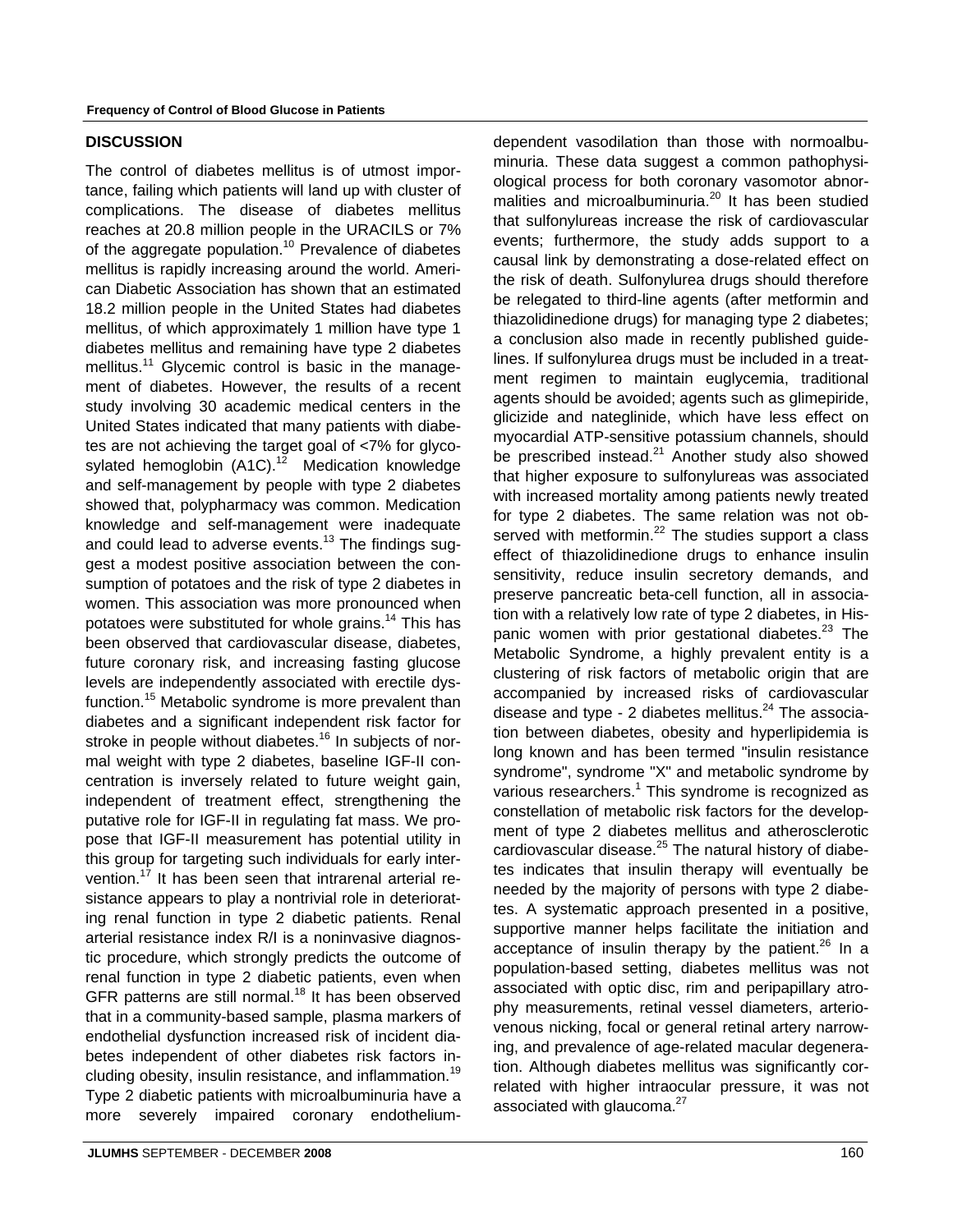## **DISCUSSION**

The control of diabetes mellitus is of utmost importance, failing which patients will land up with cluster of complications. The disease of diabetes mellitus reaches at 20.8 million people in the URACILS or 7% of the aggregate population.<sup>10</sup> Prevalence of diabetes mellitus is rapidly increasing around the world. American Diabetic Association has shown that an estimated 18.2 million people in the United States had diabetes mellitus, of which approximately 1 million have type 1 diabetes mellitus and remaining have type 2 diabetes mellitus.<sup>11</sup> Glycemic control is basic in the management of diabetes. However, the results of a recent study involving 30 academic medical centers in the United States indicated that many patients with diabetes are not achieving the target goal of <7% for glycosylated hemoglobin  $(A1C)^{12}$  Medication knowledge and self-management by people with type 2 diabetes showed that, polypharmacy was common. Medication knowledge and self-management were inadequate and could lead to adverse events.<sup>13</sup> The findings suggest a modest positive association between the consumption of potatoes and the risk of type 2 diabetes in women. This association was more pronounced when potatoes were substituted for whole grains.<sup>14</sup> This has been observed that cardiovascular disease, diabetes, future coronary risk, and increasing fasting glucose levels are independently associated with erectile dysfunction.<sup>15</sup> Metabolic syndrome is more prevalent than diabetes and a significant independent risk factor for stroke in people without diabetes.<sup>16</sup> In subjects of normal weight with type 2 diabetes, baseline IGF-II concentration is inversely related to future weight gain, independent of treatment effect, strengthening the putative role for IGF-II in regulating fat mass. We propose that IGF-II measurement has potential utility in this group for targeting such individuals for early intervention.<sup>17</sup> It has been seen that intrarenal arterial resistance appears to play a nontrivial role in deteriorating renal function in type 2 diabetic patients. Renal arterial resistance index R/I is a noninvasive diagnostic procedure, which strongly predicts the outcome of renal function in type 2 diabetic patients, even when GFR patterns are still normal.<sup>18</sup> It has been observed that in a community-based sample, plasma markers of endothelial dysfunction increased risk of incident diabetes independent of other diabetes risk factors including obesity, insulin resistance, and inflammation.<sup>19</sup> Type 2 diabetic patients with microalbuminuria have a more severely impaired coronary endotheliumdependent vasodilation than those with normoalbuminuria. These data suggest a common pathophysiological process for both coronary vasomotor abnormalities and microalbuminuria. $^{20}$  It has been studied that sulfonylureas increase the risk of cardiovascular events; furthermore, the study adds support to a causal link by demonstrating a dose-related effect on the risk of death. Sulfonylurea drugs should therefore be relegated to third-line agents (after metformin and thiazolidinedione drugs) for managing type 2 diabetes; a conclusion also made in recently published guidelines. If sulfonylurea drugs must be included in a treatment regimen to maintain euglycemia, traditional agents should be avoided; agents such as glimepiride, glicizide and nateglinide, which have less effect on myocardial ATP-sensitive potassium channels, should be prescribed instead.<sup>21</sup> Another study also showed that higher exposure to sulfonylureas was associated with increased mortality among patients newly treated for type 2 diabetes. The same relation was not observed with metformin.<sup>22</sup> The studies support a class effect of thiazolidinedione drugs to enhance insulin sensitivity, reduce insulin secretory demands, and preserve pancreatic beta-cell function, all in association with a relatively low rate of type 2 diabetes, in Hispanic women with prior gestational diabetes.<sup>23</sup> The Metabolic Syndrome, a highly prevalent entity is a clustering of risk factors of metabolic origin that are accompanied by increased risks of cardiovascular disease and type - 2 diabetes mellitus. $24$  The association between diabetes, obesity and hyperlipidemia is long known and has been termed "insulin resistance syndrome", syndrome "X" and metabolic syndrome by various researchers.<sup>1</sup> This syndrome is recognized as constellation of metabolic risk factors for the development of type 2 diabetes mellitus and atherosclerotic cardiovascular disease.<sup>25</sup> The natural history of diabetes indicates that insulin therapy will eventually be needed by the majority of persons with type 2 diabetes. A systematic approach presented in a positive, supportive manner helps facilitate the initiation and acceptance of insulin therapy by the patient.<sup>26</sup> In a population-based setting, diabetes mellitus was not associated with optic disc, rim and peripapillary atrophy measurements, retinal vessel diameters, arteriovenous nicking, focal or general retinal artery narrowing, and prevalence of age-related macular degeneration. Although diabetes mellitus was significantly correlated with higher intraocular pressure, it was not associated with glaucoma.<sup>27</sup>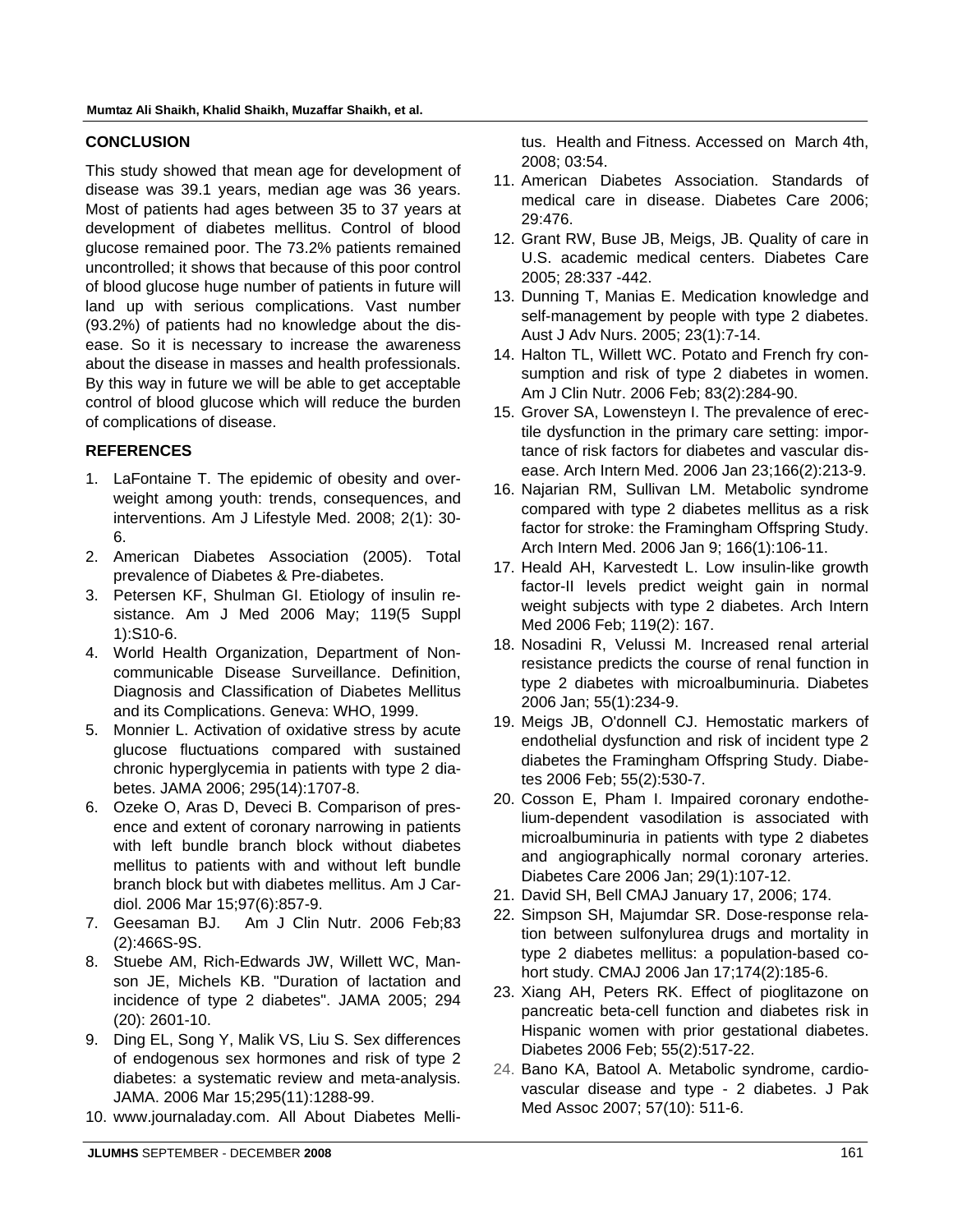# **CONCLUSION**

This study showed that mean age for development of disease was 39.1 years, median age was 36 years. Most of patients had ages between 35 to 37 years at development of diabetes mellitus. Control of blood glucose remained poor. The 73.2% patients remained uncontrolled; it shows that because of this poor control of blood glucose huge number of patients in future will land up with serious complications. Vast number (93.2%) of patients had no knowledge about the disease. So it is necessary to increase the awareness about the disease in masses and health professionals. By this way in future we will be able to get acceptable control of blood glucose which will reduce the burden of complications of disease.

# **REFERENCES**

- 1. LaFontaine T. The epidemic of obesity and overweight among youth: trends, consequences, and interventions. Am J Lifestyle Med. 2008; 2(1): 30- 6.
- 2. American Diabetes Association (2005). Total prevalence of Diabetes & Pre-diabetes.
- 3. Petersen KF, Shulman GI. Etiology of insulin resistance. Am J Med 2006 May; 119(5 Suppl 1):S10-6.
- 4. World Health Organization, Department of Noncommunicable Disease Surveillance. Definition, Diagnosis and Classification of Diabetes Mellitus and its Complications. Geneva: WHO, 1999.
- 5. Monnier L. Activation of oxidative stress by acute glucose fluctuations compared with sustained chronic hyperglycemia in patients with type 2 diabetes. JAMA 2006; 295(14):1707-8.
- 6. Ozeke O, Aras D, Deveci B. Comparison of presence and extent of coronary narrowing in patients with left bundle branch block without diabetes mellitus to patients with and without left bundle branch block but with diabetes mellitus. Am J Cardiol. 2006 Mar 15;97(6):857-9.
- 7. Geesaman BJ. Am J Clin Nutr. 2006 Feb;83 (2):466S-9S.
- 8. Stuebe AM, Rich-Edwards JW, Willett WC, Manson JE, Michels KB. "Duration of lactation and incidence of type 2 diabetes". JAMA 2005; 294 (20): 2601-10.
- 9. Ding EL, Song Y, Malik VS, Liu S. Sex differences of endogenous sex hormones and risk of type 2 diabetes: a systematic review and meta-analysis. JAMA. 2006 Mar 15;295(11):1288-99.
- 10. www.journaladay.com. All About Diabetes Melli-

tus. Health and Fitness. Accessed on March 4th, 2008; 03:54.

- 11. American Diabetes Association. Standards of medical care in disease. Diabetes Care 2006; 29:476.
- 12. Grant RW, Buse JB, Meigs, JB. Quality of care in U.S. academic medical centers. Diabetes Care 2005; 28:337 -442.
- 13. Dunning T, Manias E. Medication knowledge and self-management by people with type 2 diabetes. Aust J Adv Nurs. 2005; 23(1):7-14.
- 14. Halton TL, Willett WC. Potato and French fry consumption and risk of type 2 diabetes in women. Am J Clin Nutr. 2006 Feb; 83(2):284-90.
- 15. Grover SA, Lowensteyn I. The prevalence of erectile dysfunction in the primary care setting: importance of risk factors for diabetes and vascular disease. Arch Intern Med. 2006 Jan 23;166(2):213-9.
- 16. Najarian RM, Sullivan LM. Metabolic syndrome compared with type 2 diabetes mellitus as a risk factor for stroke: the Framingham Offspring Study. Arch Intern Med. 2006 Jan 9; 166(1):106-11.
- 17. Heald AH, Karvestedt L. Low insulin-like growth factor-II levels predict weight gain in normal weight subjects with type 2 diabetes. Arch Intern Med 2006 Feb; 119(2): 167.
- 18. Nosadini R, Velussi M. Increased renal arterial resistance predicts the course of renal function in type 2 diabetes with microalbuminuria. Diabetes 2006 Jan; 55(1):234-9.
- 19. Meigs JB, O'donnell CJ. Hemostatic markers of endothelial dysfunction and risk of incident type 2 diabetes the Framingham Offspring Study. Diabetes 2006 Feb; 55(2):530-7.
- 20. Cosson E, Pham I. Impaired coronary endothelium-dependent vasodilation is associated with microalbuminuria in patients with type 2 diabetes and angiographically normal coronary arteries. Diabetes Care 2006 Jan; 29(1):107-12.
- 21. David SH, Bell CMAJ January 17, 2006; 174.
- 22. Simpson SH, Majumdar SR. Dose-response relation between sulfonylurea drugs and mortality in type 2 diabetes mellitus: a population-based cohort study. CMAJ 2006 Jan 17;174(2):185-6.
- 23. Xiang AH, Peters RK. Effect of pioglitazone on pancreatic beta-cell function and diabetes risk in Hispanic women with prior gestational diabetes. Diabetes 2006 Feb; 55(2):517-22.
- 24. Bano KA, Batool A. Metabolic syndrome, cardiovascular disease and type - 2 diabetes. J Pak Med Assoc 2007; 57(10): 511-6.